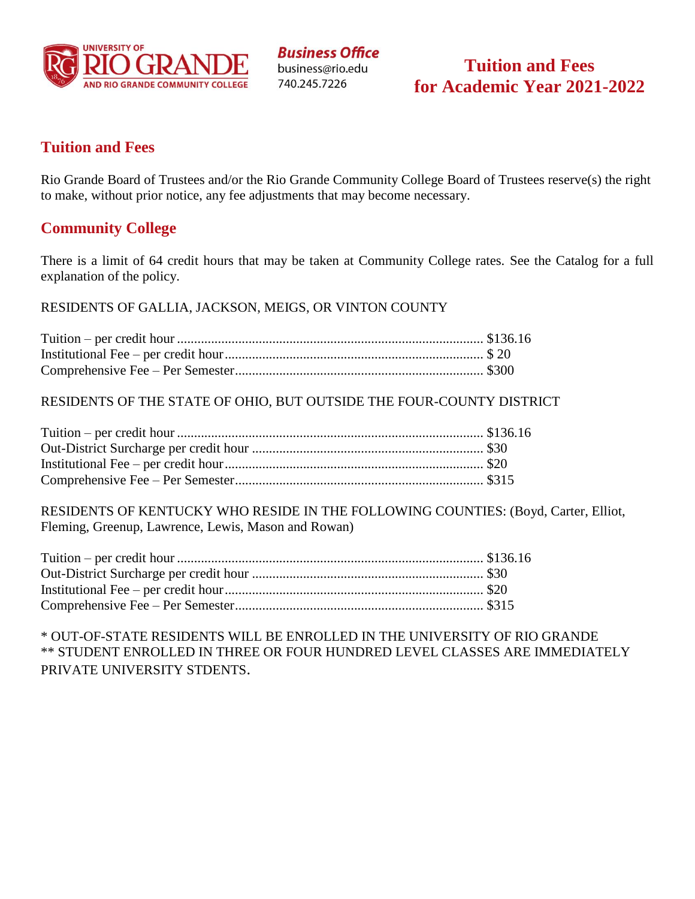

#### **Tuition and Fees**

Rio Grande Board of Trustees and/or the Rio Grande Community College Board of Trustees reserve(s) the right to make, without prior notice, any fee adjustments that may become necessary.

#### **Community College**

There is a limit of 64 credit hours that may be taken at Community College rates. See the Catalog for a full explanation of the policy.

RESIDENTS OF GALLIA, JACKSON, MEIGS, OR VINTON COUNTY

RESIDENTS OF THE STATE OF OHIO, BUT OUTSIDE THE FOUR-COUNTY DISTRICT

RESIDENTS OF KENTUCKY WHO RESIDE IN THE FOLLOWING COUNTIES: (Boyd, Carter, Elliot, Fleming, Greenup, Lawrence, Lewis, Mason and Rowan)

\* OUT-OF-STATE RESIDENTS WILL BE ENROLLED IN THE UNIVERSITY OF RIO GRANDE \*\* STUDENT ENROLLED IN THREE OR FOUR HUNDRED LEVEL CLASSES ARE IMMEDIATELY PRIVATE UNIVERSITY STDENTS.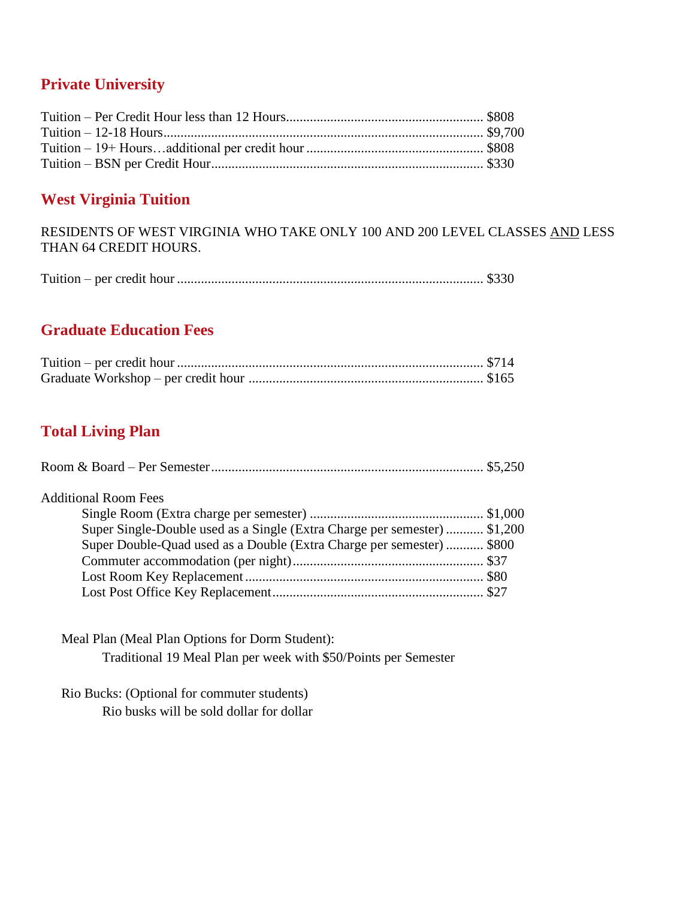# **Private University**

# **West Virginia Tuition**

RESIDENTS OF WEST VIRGINIA WHO TAKE ONLY 100 AND 200 LEVEL CLASSES AND LESS THAN 64 CREDIT HOURS.

|--|--|

# **Graduate Education Fees**

### **Total Living Plan**

| <b>Additional Room Fees</b>                                               |  |
|---------------------------------------------------------------------------|--|
|                                                                           |  |
|                                                                           |  |
| Super Single-Double used as a Single (Extra Charge per semester)  \$1,200 |  |
| Super Double-Quad used as a Double (Extra Charge per semester) \$800      |  |
|                                                                           |  |
|                                                                           |  |
|                                                                           |  |
|                                                                           |  |

Meal Plan (Meal Plan Options for Dorm Student): Traditional 19 Meal Plan per week with \$50/Points per Semester

Rio Bucks: (Optional for commuter students) Rio busks will be sold dollar for dollar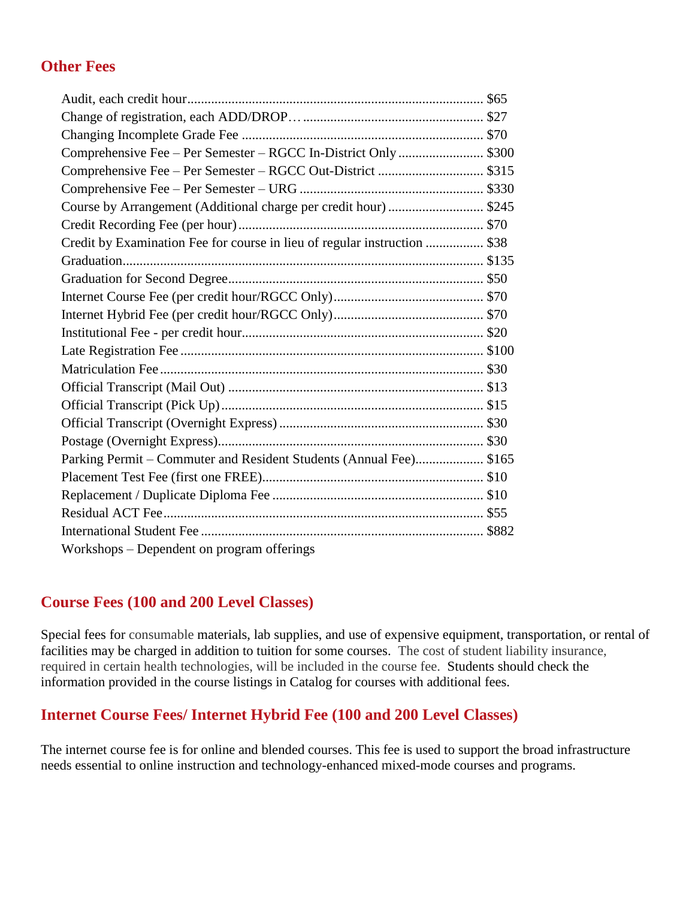#### **Other Fees**

| Course by Arrangement (Additional charge per credit hour)  \$245          |  |
|---------------------------------------------------------------------------|--|
|                                                                           |  |
| Credit by Examination Fee for course in lieu of regular instruction  \$38 |  |
|                                                                           |  |
|                                                                           |  |
|                                                                           |  |
|                                                                           |  |
|                                                                           |  |
|                                                                           |  |
|                                                                           |  |
|                                                                           |  |
|                                                                           |  |
|                                                                           |  |
|                                                                           |  |
| Parking Permit – Commuter and Resident Students (Annual Fee) \$165        |  |
|                                                                           |  |
|                                                                           |  |
|                                                                           |  |
|                                                                           |  |
| Workshops – Dependent on program offerings                                |  |

### **Course Fees (100 and 200 Level Classes)**

Special fees for consumable materials, lab supplies, and use of expensive equipment, transportation, or rental of facilities may be charged in addition to tuition for some courses. The cost of student liability insurance, required in certain health technologies, will be included in the course fee. Students should check the information provided in the course listings in Catalog for courses with additional fees.

#### **Internet Course Fees/ Internet Hybrid Fee (100 and 200 Level Classes)**

The internet course fee is for online and blended courses. This fee is used to support the broad infrastructure needs essential to online instruction and technology-enhanced mixed-mode courses and programs.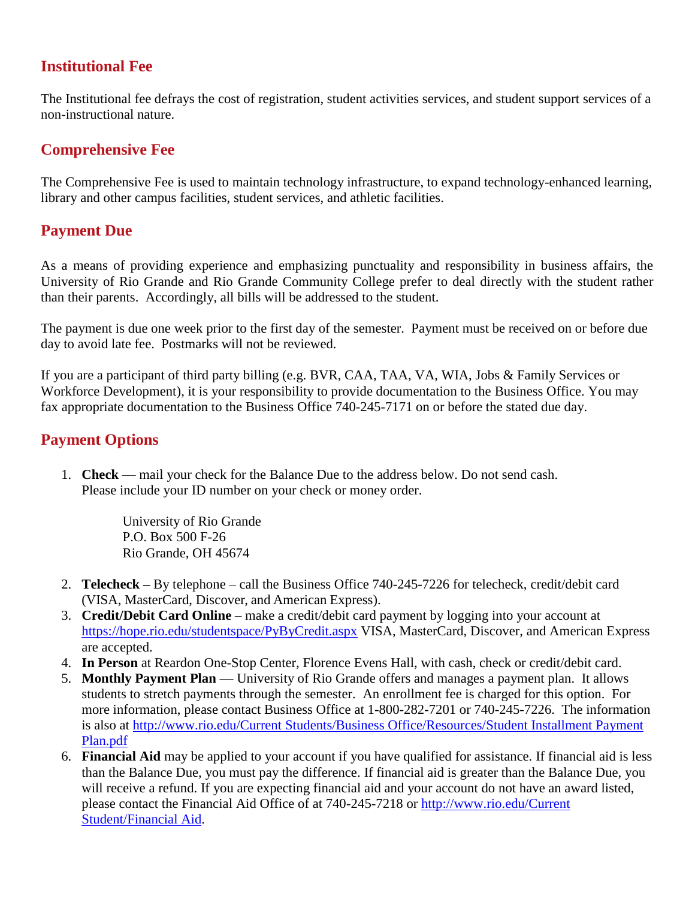# **Institutional Fee**

The Institutional fee defrays the cost of registration, student activities services, and student support services of a non-instructional nature.

# **Comprehensive Fee**

The Comprehensive Fee is used to maintain technology infrastructure, to expand technology-enhanced learning, library and other campus facilities, student services, and athletic facilities.

# **Payment Due**

As a means of providing experience and emphasizing punctuality and responsibility in business affairs, the University of Rio Grande and Rio Grande Community College prefer to deal directly with the student rather than their parents. Accordingly, all bills will be addressed to the student.

The payment is due one week prior to the first day of the semester. Payment must be received on or before due day to avoid late fee. Postmarks will not be reviewed.

If you are a participant of third party billing (e.g. BVR, CAA, TAA, VA, WIA, Jobs & Family Services or Workforce Development), it is your responsibility to provide documentation to the Business Office. You may fax appropriate documentation to the Business Office 740-245-7171 on or before the stated due day.

# **Payment Options**

1. **Check** — mail your check for the Balance Due to the address below. Do not send cash. Please include your ID number on your check or money order.

> University of Rio Grande P.O. Box 500 F-26 Rio Grande, OH 45674

- 2. **Telecheck –** By telephone call the Business Office 740-245-7226 for telecheck, credit/debit card (VISA, MasterCard, Discover, and American Express).
- 3. **Credit/Debit Card Online**  make a credit/debit card payment by logging into your account at <https://hope.rio.edu/studentspace/PyByCredit.aspx> VISA, MasterCard, Discover, and American Express are accepted.
- 4. **In Person** at Reardon One-Stop Center, Florence Evens Hall, with cash, check or credit/debit card.
- 5. **Monthly Payment Plan** University of Rio Grande offers and manages a payment plan. It allows students to stretch payments through the semester. An enrollment fee is charged for this option. For more information, please contact Business Office at 1-800-282-7201 or 740-245-7226. The information is also at [http://www.rio.edu/Current Students/Business Office/Resources/Student Installment Payment](http://www.rio.edu/Current%20Students/Business%20Office/Resources/Student%20Installment%20Payment%20Plan.pdf)  [Plan.pdf](http://www.rio.edu/Current%20Students/Business%20Office/Resources/Student%20Installment%20Payment%20Plan.pdf)
- 6. **Financial Aid** may be applied to your account if you have qualified for assistance. If financial aid is less than the Balance Due, you must pay the difference. If financial aid is greater than the Balance Due, you will receive a refund. If you are expecting financial aid and your account do not have an award listed, please contact the Financial Aid Office of at 740-245-7218 or [http://www.rio.edu/Current](http://www.rio.edu/Current%20Student/Financial%20Aid)  [Student/Financial Aid.](http://www.rio.edu/Current%20Student/Financial%20Aid)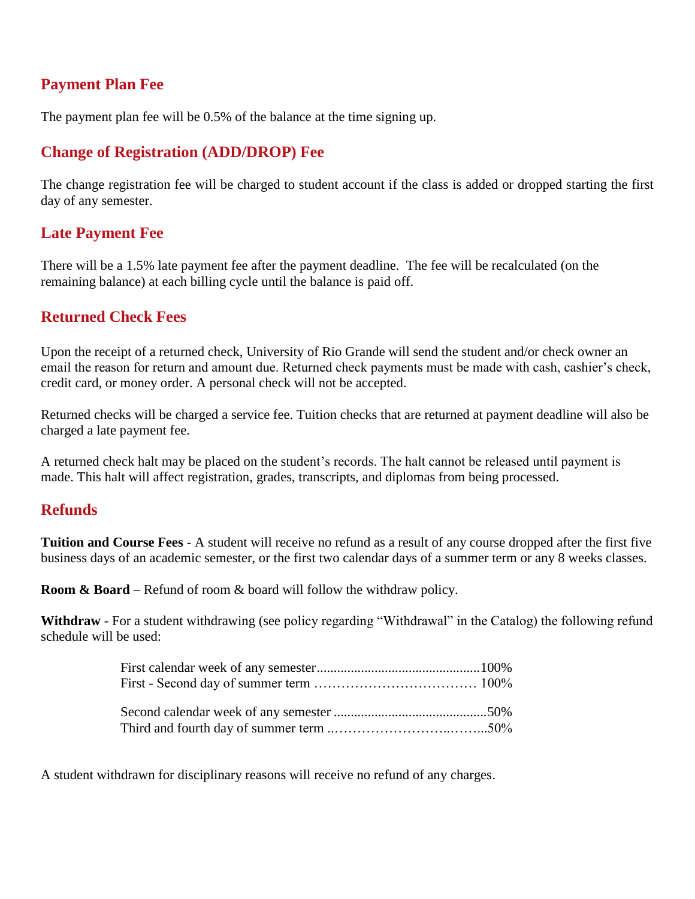## **Payment Plan Fee**

The payment plan fee will be 0.5% of the balance at the time signing up.

# **Change of Registration (ADD/DROP) Fee**

The change registration fee will be charged to student account if the class is added or dropped starting the first day of any semester.

# **Late Payment Fee**

There will be a 1.5% late payment fee after the payment deadline. The fee will be recalculated (on the remaining balance) at each billing cycle until the balance is paid off.

# **Returned Check Fees**

Upon the receipt of a returned check, University of Rio Grande will send the student and/or check owner an email the reason for return and amount due. Returned check payments must be made with cash, cashier's check, credit card, or money order. A personal check will not be accepted.

Returned checks will be charged a service fee. Tuition checks that are returned at payment deadline will also be charged a late payment fee.

A returned check halt may be placed on the student's records. The halt cannot be released until payment is made. This halt will affect registration, grades, transcripts, and diplomas from being processed.

### **Refunds**

**Tuition and Course Fees** - A student will receive no refund as a result of any course dropped after the first five business days of an academic semester, or the first two calendar days of a summer term or any 8 weeks classes.

**Room & Board** – Refund of room & board will follow the withdraw policy.

**Withdraw** - For a student withdrawing (see policy regarding "Withdrawal" in the Catalog) the following refund schedule will be used:

A student withdrawn for disciplinary reasons will receive no refund of any charges.